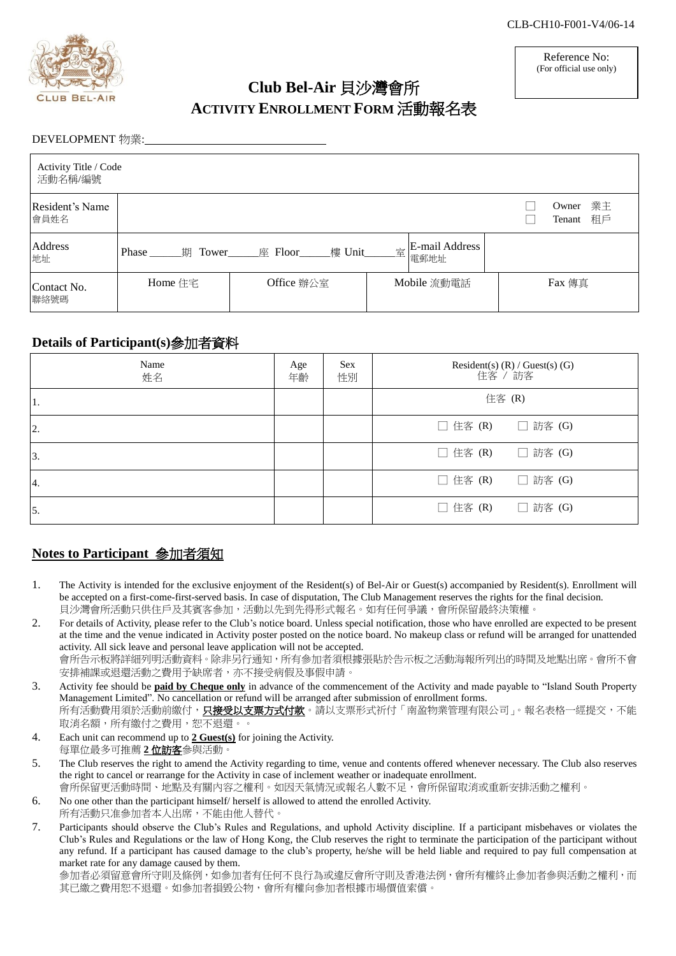

# **Club Bel-Air** 貝沙灣會所 **ACTIVITY ENROLLMENT FORM** 活動報名表

Reference No: (For official use only)

#### DEVELOPMENT 物業:

| Activity Title / Code<br>活動名稱/編號 |                     |                        |   |                        |                             |
|----------------------------------|---------------------|------------------------|---|------------------------|-----------------------------|
| Resident's Name<br>會員姓名          |                     |                        |   |                        | 業主<br>Owner<br>租戶<br>Tenant |
| Address<br>地址                    | Phase<br>期<br>Tower | ____樓 Unit_<br>座 Floor | 室 | E-mail Address<br>電郵地址 |                             |
| Contact No.<br>聯絡號碼              | Home 住宅             | Office 辦公室             |   | Mobile 流動電話            | Fax 傳真                      |

# **Details of Participant(s)**參加者資料

| Name<br>姓名 | Age<br>年齡 | <b>Sex</b><br>性別 | Resident(s) (R) / Guest(s) (G)<br>住客 / 訪客 |
|------------|-----------|------------------|-------------------------------------------|
| 1.         |           |                  | 住客 (R)                                    |
| 2.         |           |                  | $\Box$ 住客 (R)<br>□ 訪客 (G)                 |
| 3.         |           |                  | $\Box$ 住客 (R)<br>□ 訪客 (G)                 |
| 4.         |           |                  | □ 住客 (R)<br>□ 訪客 (G)                      |
| 5.         |           |                  | □ 住客 (R)<br>□ 訪客 (G)                      |

# **Notes to Participant** 參加者須知

- 1. The Activity is intended for the exclusive enjoyment of the Resident(s) of Bel-Air or Guest(s) accompanied by Resident(s). Enrollment will be accepted on a first-come-first-served basis. In case of disputation, The Club Management reserves the rights for the final decision. 貝沙灣會所活動只供住戶及其賓客參加,活動以先到先得形式報名。如有任何爭議,會所保留最終決策權。
- 2. For details of Activity, please refer to the Club's notice board. Unless special notification, those who have enrolled are expected to be present at the time and the venue indicated in Activity poster posted on the notice board. No makeup class or refund will be arranged for unattended activity. All sick leave and personal leave application will not be accepted. 會所告示板將詳細列明活動資料。除非另行通知,所有參加者須根據張貼於告示板之活動海報所列出的時間及地點出席。會所不會 安排補課或退還活動之費用予缺席者,亦不接受病假及事假申請。
- 3. Activity fee should be **paid by Cheque only** in advance of the commencement of the Activity and made payable to "Island South Property Management Limited". No cancellation or refund will be arranged after submission of enrollment forms. 所有活動費用須於活動前繳付,**只接受以支票方式付款**。請以支票形式祈付「南盈物業管理有限公司」。報名表格一經提交,不能 取消名額,所有繳付之費用,恕不退還。。
- 4. Each unit can recommend up to **2 Guest(s)** for joining the Activity. 每單位最多可推薦 **2** 位訪客參與活動。
- 5. The Club reserves the right to amend the Activity regarding to time, venue and contents offered whenever necessary. The Club also reserves the right to cancel or rearrange for the Activity in case of inclement weather or inadequate enrollment. 會所保留更活動時間、地點及有關內容之權利。如因天氣情況或報名人數不足,會所保留取消或重新安排活動之權利。
- 6. No one other than the participant himself/ herself is allowed to attend the enrolled Activity. 所有活動只准参加者本人出席,不能由他人替代。
- 7. Participants should observe the Club's Rules and Regulations, and uphold Activity discipline. If a participant misbehaves or violates the Club's Rules and Regulations or the law of Hong Kong, the Club reserves the right to terminate the participation of the participant without any refund. If a participant has caused damage to the club's property, he/she will be held liable and required to pay full compensation at market rate for any damage caused by them.

參加者必須留意會所守則及條例,如參加者有任何不良行為或違反會所守則及香港法例,會所有權終止參加者參與活動之權利,而 其已繳之費用恕不退還。如參加者損毀公物,會所有權向參加者根據市場價值索償。